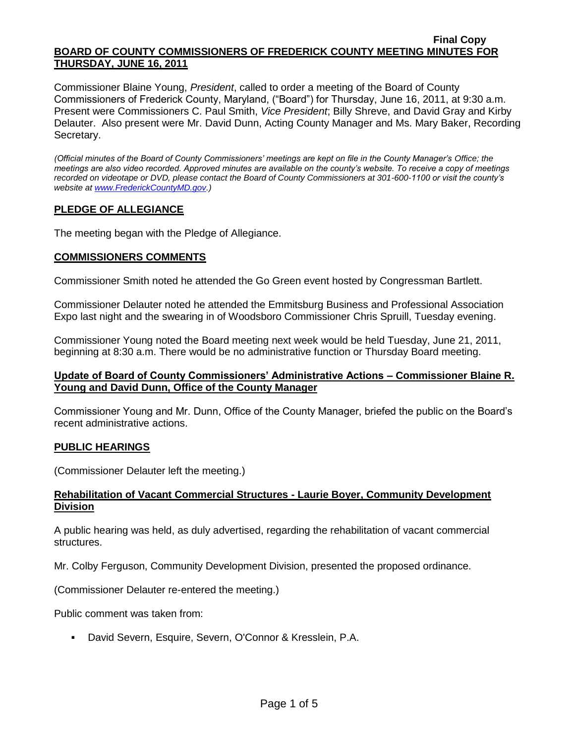Commissioner Blaine Young, *President*, called to order a meeting of the Board of County Commissioners of Frederick County, Maryland, ("Board") for Thursday, June 16, 2011, at 9:30 a.m. Present were Commissioners C. Paul Smith, *Vice President*; Billy Shreve, and David Gray and Kirby Delauter. Also present were Mr. David Dunn, Acting County Manager and Ms. Mary Baker, Recording Secretary.

*(Official minutes of the Board of County Commissioners' meetings are kept on file in the County Manager's Office; the meetings are also video recorded. Approved minutes are available on the county's website. To receive a copy of meetings recorded on videotape or DVD, please contact the Board of County Commissioners at 301-600-1100 or visit the county's website a[t www.FrederickCountyMD.gov.](http://www.frederickcountymd.gov/))*

# **PLEDGE OF ALLEGIANCE**

The meeting began with the Pledge of Allegiance.

# **COMMISSIONERS COMMENTS**

Commissioner Smith noted he attended the Go Green event hosted by Congressman Bartlett.

Commissioner Delauter noted he attended the Emmitsburg Business and Professional Association Expo last night and the swearing in of Woodsboro Commissioner Chris Spruill, Tuesday evening.

Commissioner Young noted the Board meeting next week would be held Tuesday, June 21, 2011, beginning at 8:30 a.m. There would be no administrative function or Thursday Board meeting.

# **Update of Board of County Commissioners' Administrative Actions – Commissioner Blaine R. Young and David Dunn, Office of the County Manager**

Commissioner Young and Mr. Dunn, Office of the County Manager, briefed the public on the Board's recent administrative actions.

#### **PUBLIC HEARINGS**

(Commissioner Delauter left the meeting.)

### **Rehabilitation of Vacant Commercial Structures - Laurie Boyer, Community Development Division**

A public hearing was held, as duly advertised, regarding the rehabilitation of vacant commercial structures.

Mr. Colby Ferguson, Community Development Division, presented the proposed ordinance.

(Commissioner Delauter re-entered the meeting.)

Public comment was taken from:

David Severn, Esquire, Severn, O'Connor & Kresslein, P.A.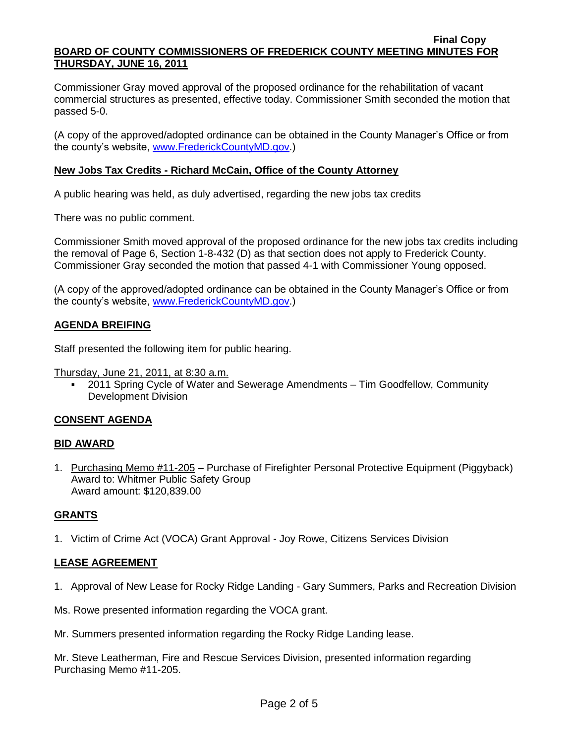Commissioner Gray moved approval of the proposed ordinance for the rehabilitation of vacant commercial structures as presented, effective today. Commissioner Smith seconded the motion that passed 5-0.

(A copy of the approved/adopted ordinance can be obtained in the County Manager's Office or from the county's website, [www.FrederickCountyMD.gov.](http://www.frederickcountymd.gov/))

# **New Jobs Tax Credits - Richard McCain, Office of the County Attorney**

A public hearing was held, as duly advertised, regarding the new jobs tax credits

There was no public comment.

Commissioner Smith moved approval of the proposed ordinance for the new jobs tax credits including the removal of Page 6, Section 1-8-432 (D) as that section does not apply to Frederick County. Commissioner Gray seconded the motion that passed 4-1 with Commissioner Young opposed.

(A copy of the approved/adopted ordinance can be obtained in the County Manager's Office or from the county's website, [www.FrederickCountyMD.gov.](http://www.frederickcountymd.gov/))

# **AGENDA BREIFING**

Staff presented the following item for public hearing.

Thursday, June 21, 2011, at 8:30 a.m.

 2011 Spring Cycle of Water and Sewerage Amendments – Tim Goodfellow, Community Development Division

#### **CONSENT AGENDA**

#### **BID AWARD**

1. Purchasing Memo #11-205 – Purchase of Firefighter Personal Protective Equipment (Piggyback) Award to: Whitmer Public Safety Group Award amount: \$120,839.00

#### **GRANTS**

1. Victim of Crime Act (VOCA) Grant Approval - Joy Rowe, Citizens Services Division

# **LEASE AGREEMENT**

1. Approval of New Lease for Rocky Ridge Landing - Gary Summers, Parks and Recreation Division

Ms. Rowe presented information regarding the VOCA grant.

Mr. Summers presented information regarding the Rocky Ridge Landing lease.

Mr. Steve Leatherman, Fire and Rescue Services Division, presented information regarding Purchasing Memo #11-205.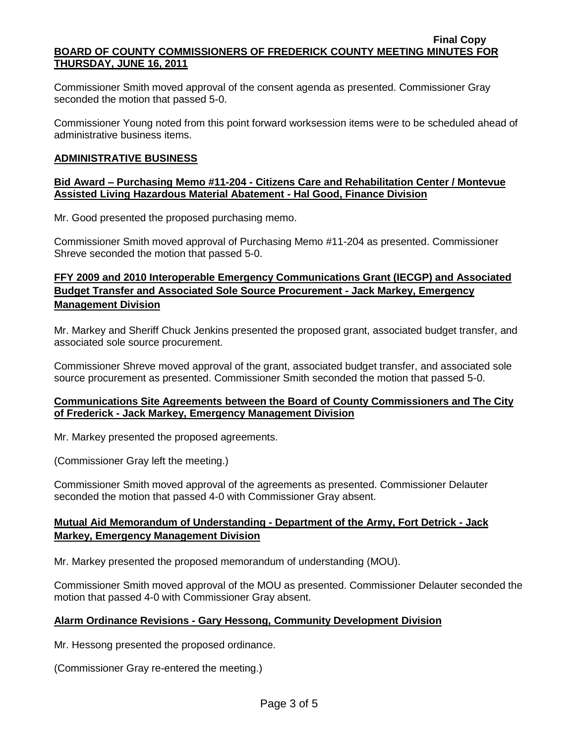Commissioner Smith moved approval of the consent agenda as presented. Commissioner Gray seconded the motion that passed 5-0.

Commissioner Young noted from this point forward worksession items were to be scheduled ahead of administrative business items.

## **ADMINISTRATIVE BUSINESS**

### **Bid Award – Purchasing Memo #11-204 - Citizens Care and Rehabilitation Center / Montevue Assisted Living Hazardous Material Abatement - Hal Good, Finance Division**

Mr. Good presented the proposed purchasing memo.

Commissioner Smith moved approval of Purchasing Memo #11-204 as presented. Commissioner Shreve seconded the motion that passed 5-0.

# **FFY 2009 and 2010 Interoperable Emergency Communications Grant (IECGP) and Associated Budget Transfer and Associated Sole Source Procurement - Jack Markey, Emergency Management Division**

Mr. Markey and Sheriff Chuck Jenkins presented the proposed grant, associated budget transfer, and associated sole source procurement.

Commissioner Shreve moved approval of the grant, associated budget transfer, and associated sole source procurement as presented. Commissioner Smith seconded the motion that passed 5-0.

### **Communications Site Agreements between the Board of County Commissioners and The City of Frederick - Jack Markey, Emergency Management Division**

Mr. Markey presented the proposed agreements.

(Commissioner Gray left the meeting.)

Commissioner Smith moved approval of the agreements as presented. Commissioner Delauter seconded the motion that passed 4-0 with Commissioner Gray absent.

# **Mutual Aid Memorandum of Understanding - Department of the Army, Fort Detrick - Jack Markey, Emergency Management Division**

Mr. Markey presented the proposed memorandum of understanding (MOU).

Commissioner Smith moved approval of the MOU as presented. Commissioner Delauter seconded the motion that passed 4-0 with Commissioner Gray absent.

# **Alarm Ordinance Revisions - Gary Hessong, Community Development Division**

Mr. Hessong presented the proposed ordinance.

(Commissioner Gray re-entered the meeting.)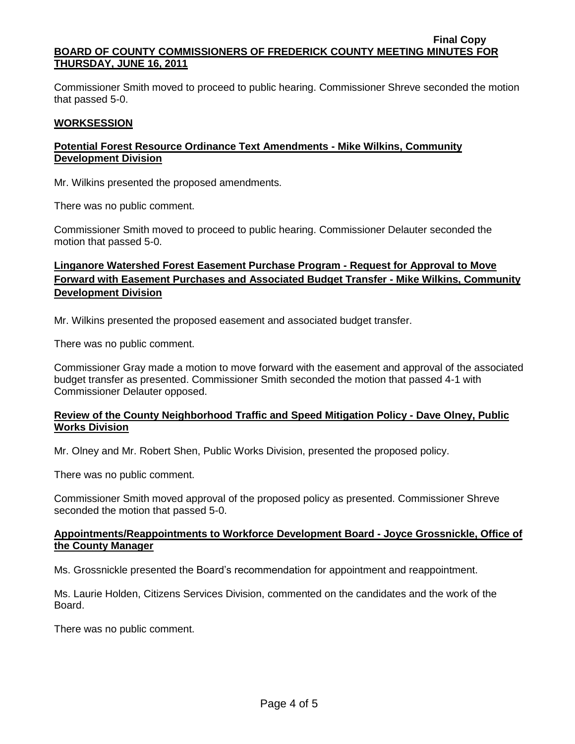Commissioner Smith moved to proceed to public hearing. Commissioner Shreve seconded the motion that passed 5-0.

#### **WORKSESSION**

# **Potential Forest Resource Ordinance Text Amendments - Mike Wilkins, Community Development Division**

Mr. Wilkins presented the proposed amendments.

There was no public comment.

Commissioner Smith moved to proceed to public hearing. Commissioner Delauter seconded the motion that passed 5-0.

# **Linganore Watershed Forest Easement Purchase Program - Request for Approval to Move Forward with Easement Purchases and Associated Budget Transfer - Mike Wilkins, Community Development Division**

Mr. Wilkins presented the proposed easement and associated budget transfer.

There was no public comment.

Commissioner Gray made a motion to move forward with the easement and approval of the associated budget transfer as presented. Commissioner Smith seconded the motion that passed 4-1 with Commissioner Delauter opposed.

### **Review of the County Neighborhood Traffic and Speed Mitigation Policy - Dave Olney, Public Works Division**

Mr. Olney and Mr. Robert Shen, Public Works Division, presented the proposed policy.

There was no public comment.

Commissioner Smith moved approval of the proposed policy as presented. Commissioner Shreve seconded the motion that passed 5-0.

### **Appointments/Reappointments to Workforce Development Board - Joyce Grossnickle, Office of the County Manager**

Ms. Grossnickle presented the Board's recommendation for appointment and reappointment.

Ms. Laurie Holden, Citizens Services Division, commented on the candidates and the work of the Board.

There was no public comment.